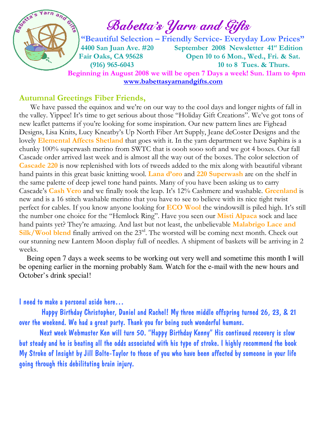

# $\int_{a}^{\infty}$   $\int_{a}^{\infty}$   $\int_{a}^{\infty}$  Babetta's Yarn and Gifts

 "Beautiful Selection – Friendly Service- Everyday Low Prices" 4400 San Juan Ave. #20 September 2008 Newsletter 41<sup>st</sup> Edition Fair Oaks, CA 95628 Open 10 to 6 Mon., Wed., Fri. & Sat. (916) 965-6043 10 to 8 Tues. & Thurs. Beginning in August 2008 we will be open 7 Days a week! Sun. 11am to 4pm www.babettasyarnandgifts.com

#### Autumnal Greetings Fiber Friends,

We have passed the equinox and we're on our way to the cool days and longer nights of fall in the valley. Yippee! It's time to get serious about those "Holiday Gift Creations". We've got tons of new leaflet patterns if you're looking for some inspiration. Our new pattern lines are Fighead Designs, Lisa Knits, Lucy Kneatby's Up North Fiber Art Supply, Jeane deCoster Designs and the lovely **Elemental Affects Shetland** that goes with it. In the yarn department we have Saphira is a chunky 100% superwash merino from SWTC that is oooh sooo soft and we got 4 boxes. Our fall Cascade order arrived last week and is almost all the way out of the boxes. The color selection of Cascade 220 is now replenished with lots of tweeds added to the mix along with beautiful vibrant hand paints in this great basic knitting wool. Lana d'oro and 220 Superwash are on the shelf in the same palette of deep jewel tone hand paints. Many of you have been asking us to carry Cascade's Cash Vero and we finally took the leap. It's 12% Cashmere and washable. Greenland is new and is a 16 stitch washable merino that you have to see to believe with its nice tight twist perfect for cables. If you know anyone looking for **ECO Wool** the windowsill is piled high. It's still the number one choice for the "Hemlock Ring". Have you seen our Misti Alpaca sock and lace hand paints yet? They're amazing. And last but not least, the unbelievable **Malabrigo Lace and** Silk/Wool blend finally arrived on the 23<sup>rd</sup>. The worsted will be coming next month. Check out our stunning new Lantern Moon display full of needles. A shipment of baskets will be arriving in 2 weeks.

 Being open 7 days a week seems to be working out very well and sometime this month I will be opening earlier in the morning probably 8am. Watch for the e-mail with the new hours and October's drink special!

#### I need to make a personal aside here…

 Happy Birthday Christopher, Daniel and Rachel! My three middle offspring turned 26, 23, & 21 over the weekend. We had a great party. Thank you for being such wonderful humans.

 Next week Webmaster Ken will turn 50. "Happy Birthday Kenny" His continued recovery is slow but steady and he is beating all the odds associated with his type of stroke. I highly recommend the book My Stroke of Insight by Jill Bolte-Taylor to those of you who have been affected by someone in your life going through this debilitating brain injury.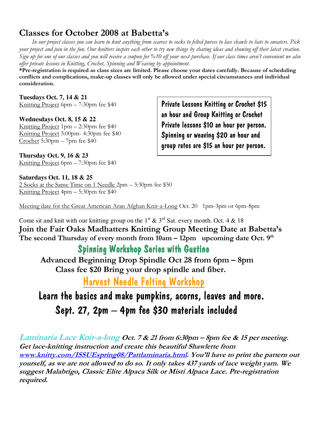### Classes for October 2008 at Babetta's

 In our project classes you can learn to knit anything from scarves to socks to felted purses to lace shawls to hats to sweaters. Pick your project and join in the fun. Our knitters inspire each other to try new things by sharing ideas and showing off their latest creation. Sign up for one of our classes and you will receive a coupon for %10 off your next purchase. If our class times aren't convenient we also offer private lessons in Knitting, Crochet, Spinning and Weaving by appointment.

\*Pre-registration is required as class sizes are limited. Please choose your dates carefully. Because of scheduling conflicts and complications, make-up classes will only be allowed under special circumstances and individual consideration.

**Tuesdays Oct. 7, 14 & 21**  Knitting Project 6pm – 7:30pm fee \$40

**Wednesdays Oct. 8, 15 & 22**  Knitting Project 1pm – 2:30pm fee \$40 Knitting Project 3:00pm- 4:30pm fee \$40 Crochet 5:30pm – 7pm fee \$40

Private Lessons Knitting or Crochet \$15 an hour and Group Knitting or Crochet Private lessons \$10 an hour per person. Spinning or weaving \$20 an hour and group rates are \$15 an hour per person.

**Thursday Oct. 9, 16 & 23**  Knitting Project 6pm – 7:30pm fee \$40

**Saturdays Oct. 11, 18 & 25**  2 Socks at the Same Time on 1 Needle 2pm – 3:30pm fee \$50 Knitting Project 4pm – 5:30pm fee \$40

Meeting date for the Great American Aran Afghan Knit-a-Long Oct. 20 1pm-3pm or 6pm-8pm

Come sit and knit with our knitting group on the 1<sup>st</sup>  $\&$  3<sup>rd</sup> Sat. every month. Oct. 4  $\&$  18 Join the Fair Oaks Madhatters Knitting Group Meeting Date at Babetta's The second Thursday of every month from  $10am - 12pm$  upcoming date Oct.  $9<sup>th</sup>$ 

#### Spinning Workshop Series with Gustine

 Advanced Beginning Drop Spindle Oct 28 from 6pm – 8pm Class fee \$20 Bring your drop spindle and fiber.

Harvest Needle Felting Workshop

## Learn the basics and make pumpkins, acorns, leaves and more. Sept. 27, 2pm – 4pm fee \$30 materials included

Laminaria Lace Knit-a-long Oct. 7 & 21 from 6:30pm – 8pm fee & 15 per meeting. Get lace-knitting instruction and create this beautiful Shawlette from www.knitty.com/ISSUEspring08/Pattlaminaria.html. You'll have to print the pattern out yourself, as we are not allowed to do so. It only takes 437 yards of lace weight yarn. We suggest Malabrigo, Classic Elite Alpaca Silk or Misti Alpaca Lace. Pre-registration required.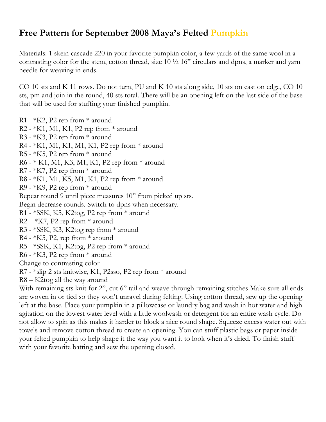### Free Pattern for September 2008 Maya's Felted Pumpkin

Materials: 1 skein cascade 220 in your favorite pumpkin color, a few yards of the same wool in a contrasting color for the stem, cotton thread, size 10 ½ 16" circulars and dpns, a marker and yarn needle for weaving in ends.

CO 10 sts and K 11 rows. Do not turn, PU and K 10 sts along side, 10 sts on cast on edge, CO 10 sts, pm and join in the round, 40 sts total. There will be an opening left on the last side of the base that will be used for stuffing your finished pumpkin.

R1 - \*K2, P2 rep from \* around R2 - \*K1, M1, K1, P2 rep from \* around R3 - \*K3, P2 rep from \* around R4 - \*K1, M1, K1, M1, K1, P2 rep from \* around R5 - \*K5, P2 rep from \* around R6 - \* K1, M1, K3, M1, K1, P2 rep from \* around R7 - \*K7, P2 rep from \* around R8 - \*K1, M1, K5, M1, K1, P2 rep from \* around R9 - \*K9, P2 rep from \* around Repeat round 9 until piece measures 10" from picked up sts. Begin decrease rounds. Switch to dpns when necessary. R1 - \*SSK, K5, K2tog, P2 rep from \* around  $R2 - *K7$ , P2 rep from  $*$  around R3 - \*SSK, K3, K2tog rep from \* around R4 - \*K5, P2, rep from \* around R5 - \*SSK, K1, K2tog, P2 rep from \* around R6 - \*K3, P2 rep from \* around Change to contrasting color R7 - \*slip 2 sts knitwise, K1, P2sso, P2 rep from \* around R8 – K2tog all the way around

With remaining sts knit for 2", cut 6" tail and weave through remaining stitches Make sure all ends are woven in or tied so they won't unravel during felting. Using cotton thread, sew up the opening left at the base. Place your pumpkin in a pillowcase or laundry bag and wash in hot water and high agitation on the lowest water level with a little woolwash or detergent for an entire wash cycle. Do not allow to spin as this makes it harder to block a nice round shape. Squeeze excess water out with towels and remove cotton thread to create an opening. You can stuff plastic bags or paper inside your felted pumpkin to help shape it the way you want it to look when it's dried. To finish stuff with your favorite batting and sew the opening closed.